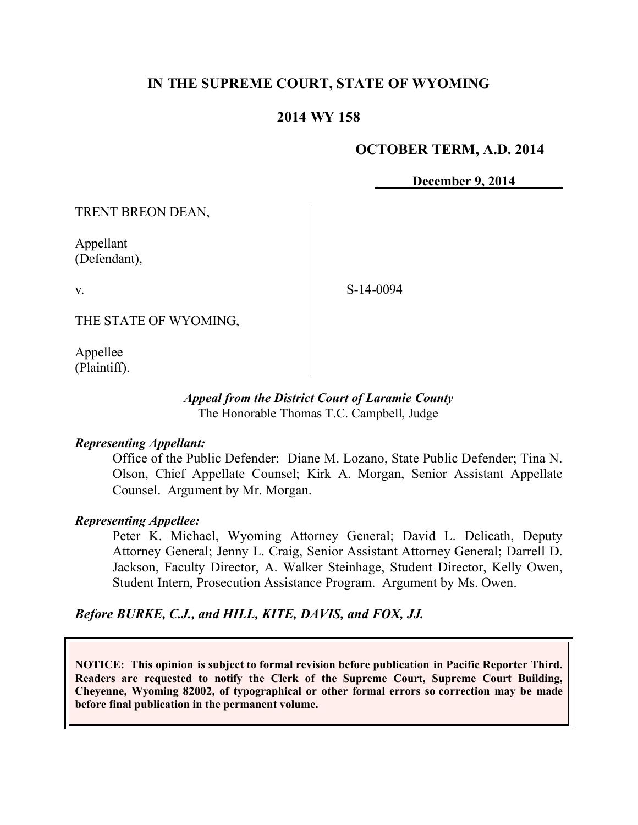# **IN THE SUPREME COURT, STATE OF WYOMING**

# **2014 WY 158**

#### **OCTOBER TERM, A.D. 2014**

**December 9, 2014**

TRENT BREON DEAN,

Appellant (Defendant),

v.

S-14-0094

THE STATE OF WYOMING,

Appellee (Plaintiff).

#### *Appeal from the District Court of Laramie County* The Honorable Thomas T.C. Campbell, Judge

#### *Representing Appellant:*

Office of the Public Defender: Diane M. Lozano, State Public Defender; Tina N. Olson, Chief Appellate Counsel; Kirk A. Morgan, Senior Assistant Appellate Counsel. Argument by Mr. Morgan.

#### *Representing Appellee:*

Peter K. Michael, Wyoming Attorney General; David L. Delicath, Deputy Attorney General; Jenny L. Craig, Senior Assistant Attorney General; Darrell D. Jackson, Faculty Director, A. Walker Steinhage, Student Director, Kelly Owen, Student Intern, Prosecution Assistance Program. Argument by Ms. Owen.

# *Before BURKE, C.J., and HILL, KITE, DAVIS, and FOX, JJ.*

**NOTICE: This opinion is subject to formal revision before publication in Pacific Reporter Third. Readers are requested to notify the Clerk of the Supreme Court, Supreme Court Building, Cheyenne, Wyoming 82002, of typographical or other formal errors so correction may be made before final publication in the permanent volume.**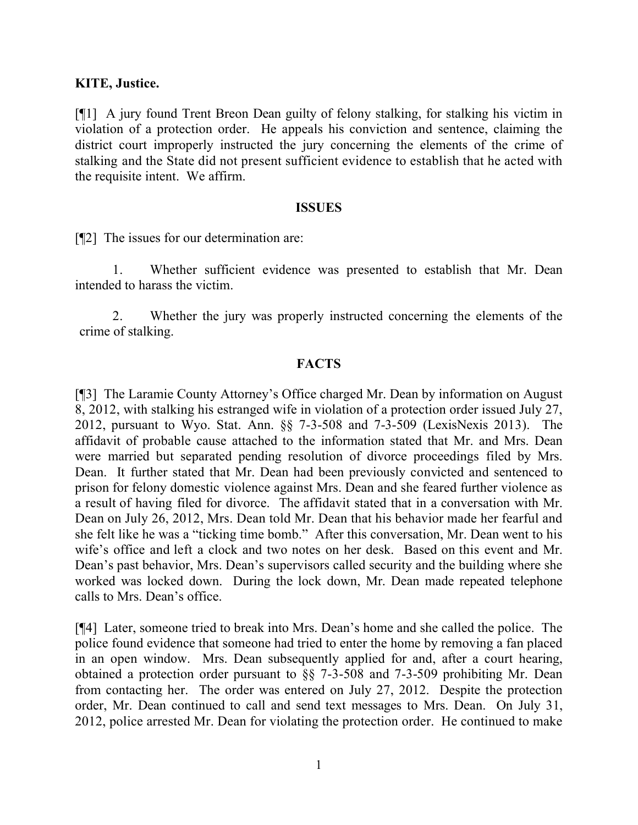#### **KITE, Justice.**

[¶1] A jury found Trent Breon Dean guilty of felony stalking, for stalking his victim in violation of a protection order. He appeals his conviction and sentence, claiming the district court improperly instructed the jury concerning the elements of the crime of stalking and the State did not present sufficient evidence to establish that he acted with the requisite intent. We affirm.

#### **ISSUES**

[¶2] The issues for our determination are:

1. Whether sufficient evidence was presented to establish that Mr. Dean intended to harass the victim.

2. Whether the jury was properly instructed concerning the elements of the crime of stalking.

# **FACTS**

[¶3] The Laramie County Attorney's Office charged Mr. Dean by information on August 8, 2012, with stalking his estranged wife in violation of a protection order issued July 27, 2012, pursuant to Wyo. Stat. Ann. §§ 7-3-508 and 7-3-509 (LexisNexis 2013). The affidavit of probable cause attached to the information stated that Mr. and Mrs. Dean were married but separated pending resolution of divorce proceedings filed by Mrs. Dean. It further stated that Mr. Dean had been previously convicted and sentenced to prison for felony domestic violence against Mrs. Dean and she feared further violence as a result of having filed for divorce. The affidavit stated that in a conversation with Mr. Dean on July 26, 2012, Mrs. Dean told Mr. Dean that his behavior made her fearful and she felt like he was a "ticking time bomb." After this conversation, Mr. Dean went to his wife's office and left a clock and two notes on her desk. Based on this event and Mr. Dean's past behavior, Mrs. Dean's supervisors called security and the building where she worked was locked down. During the lock down, Mr. Dean made repeated telephone calls to Mrs. Dean's office.

[¶4] Later, someone tried to break into Mrs. Dean's home and she called the police. The police found evidence that someone had tried to enter the home by removing a fan placed in an open window. Mrs. Dean subsequently applied for and, after a court hearing, obtained a protection order pursuant to §§ 7-3-508 and 7-3-509 prohibiting Mr. Dean from contacting her. The order was entered on July 27, 2012. Despite the protection order, Mr. Dean continued to call and send text messages to Mrs. Dean. On July 31, 2012, police arrested Mr. Dean for violating the protection order. He continued to make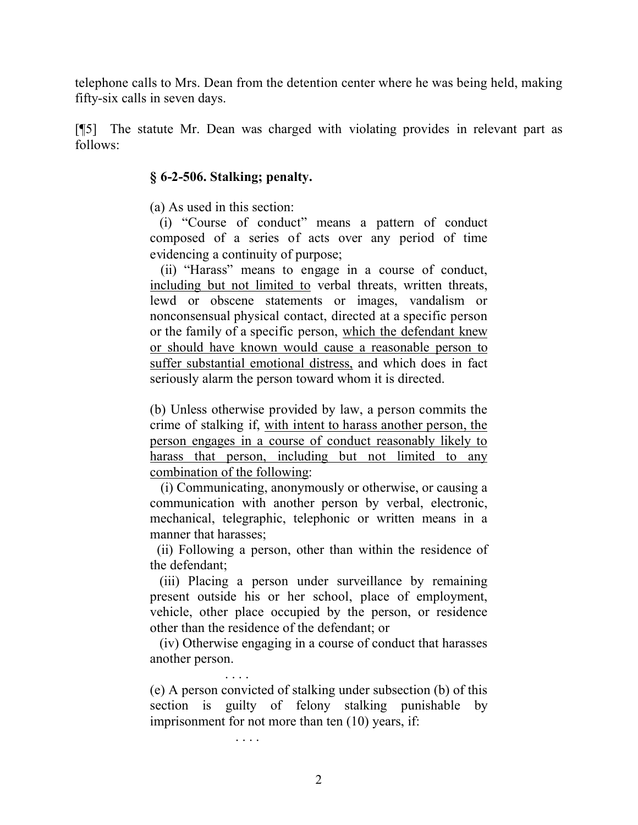telephone calls to Mrs. Dean from the detention center where he was being held, making fifty-six calls in seven days.

[¶5] The statute Mr. Dean was charged with violating provides in relevant part as follows:

### **§ 6-2-506. Stalking; penalty.**

(a) As used in this section:

(i) "Course of conduct" means a pattern of conduct composed of a series of acts over any period of time evidencing a continuity of purpose;

 (ii) "Harass" means to engage in a course of conduct, including but not limited to verbal threats, written threats, lewd or obscene statements or images, vandalism or nonconsensual physical contact, directed at a specific person or the family of a specific person, which the defendant knew or should have known would cause a reasonable person to suffer substantial emotional distress, and which does in fact seriously alarm the person toward whom it is directed.

(b) Unless otherwise provided by law, a person commits the crime of stalking if, with intent to harass another person, the person engages in a course of conduct reasonably likely to harass that person, including but not limited to any combination of the following:

 (i) Communicating, anonymously or otherwise, or causing a communication with another person by verbal, electronic, mechanical, telegraphic, telephonic or written means in a manner that harasses;

 (ii) Following a person, other than within the residence of the defendant;

(iii) Placing a person under surveillance by remaining present outside his or her school, place of employment, vehicle, other place occupied by the person, or residence other than the residence of the defendant; or

(iv) Otherwise engaging in a course of conduct that harasses another person.

. . . . (e) A person convicted of stalking under subsection (b) of this section is guilty of felony stalking punishable by imprisonment for not more than ten (10) years, if:

. . . .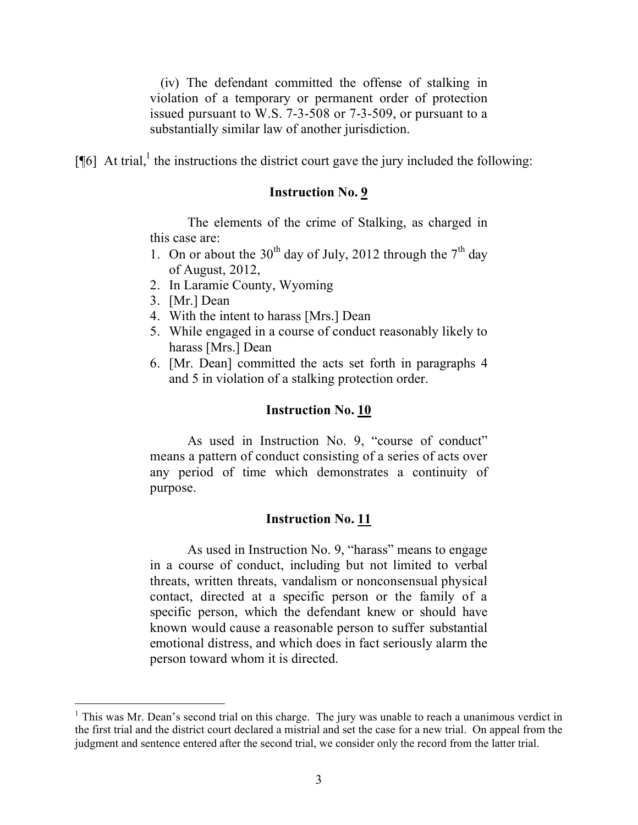(iv) The defendant committed the offense of stalking in violation of a temporary or permanent order of protection issued pursuant to W.S. 7-3-508 or 7-3-509, or pursuant to a substantially similar law of another jurisdiction.

 $[\![\![ 6]\!]$  At trial,<sup>1</sup> the instructions the district court gave the jury included the following:

#### **Instruction No. 9**

The elements of the crime of Stalking, as charged in this case are:

- 1. On or about the 30<sup>th</sup> day of July, 2012 through the  $7<sup>th</sup>$  day of August, 2012,
- 2. In Laramie County, Wyoming
- 3. [Mr.] Dean

- 4. With the intent to harass [Mrs.] Dean
- 5. While engaged in a course of conduct reasonably likely to harass [Mrs.] Dean
- 6. [Mr. Dean] committed the acts set forth in paragraphs 4 and 5 in violation of a stalking protection order.

# **Instruction No. 10**

As used in Instruction No. 9, "course of conduct" means a pattern of conduct consisting of a series of acts over any period of time which demonstrates a continuity of purpose.

# **Instruction No. 11**

As used in Instruction No. 9, "harass" means to engage in a course of conduct, including but not limited to verbal threats, written threats, vandalism or nonconsensual physical contact, directed at a specific person or the family of a specific person, which the defendant knew or should have known would cause a reasonable person to suffer substantial emotional distress, and which does in fact seriously alarm the person toward whom it is directed.

<sup>&</sup>lt;sup>1</sup> This was Mr. Dean's second trial on this charge. The jury was unable to reach a unanimous verdict in the first trial and the district court declared a mistrial and set the case for a new trial. On appeal from the judgment and sentence entered after the second trial, we consider only the record from the latter trial.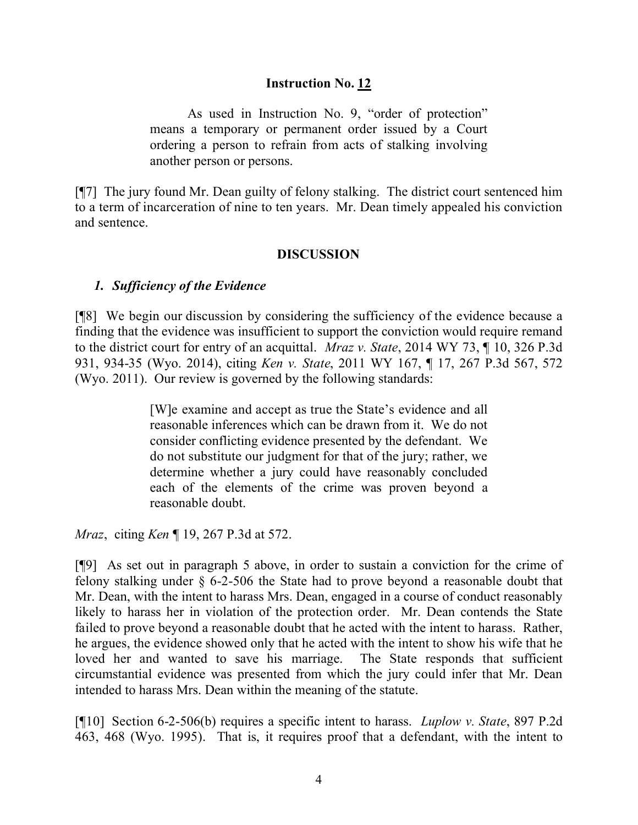### **Instruction No. 12**

As used in Instruction No. 9, "order of protection" means a temporary or permanent order issued by a Court ordering a person to refrain from acts of stalking involving another person or persons.

[¶7] The jury found Mr. Dean guilty of felony stalking. The district court sentenced him to a term of incarceration of nine to ten years. Mr. Dean timely appealed his conviction and sentence.

### **DISCUSSION**

# *1. Sufficiency of the Evidence*

[¶8] We begin our discussion by considering the sufficiency of the evidence because a finding that the evidence was insufficient to support the conviction would require remand to the district court for entry of an acquittal. *Mraz v. State*, 2014 WY 73, ¶ 10, 326 P.3d 931, 934-35 (Wyo. 2014), citing *Ken v. State*, 2011 WY 167, ¶ 17, 267 P.3d 567, 572 (Wyo. 2011). Our review is governed by the following standards:

> [W]e examine and accept as true the State's evidence and all reasonable inferences which can be drawn from it. We do not consider conflicting evidence presented by the defendant. We do not substitute our judgment for that of the jury; rather, we determine whether a jury could have reasonably concluded each of the elements of the crime was proven beyond a reasonable doubt.

*Mraz*, citing *Ken* ¶ 19, 267 P.3d at 572.

[¶9] As set out in paragraph 5 above, in order to sustain a conviction for the crime of felony stalking under § 6-2-506 the State had to prove beyond a reasonable doubt that Mr. Dean, with the intent to harass Mrs. Dean, engaged in a course of conduct reasonably likely to harass her in violation of the protection order. Mr. Dean contends the State failed to prove beyond a reasonable doubt that he acted with the intent to harass. Rather, he argues, the evidence showed only that he acted with the intent to show his wife that he loved her and wanted to save his marriage. The State responds that sufficient circumstantial evidence was presented from which the jury could infer that Mr. Dean intended to harass Mrs. Dean within the meaning of the statute.

[¶10] Section 6-2-506(b) requires a specific intent to harass. *Luplow v. State*, 897 P.2d 463, 468 (Wyo. 1995). That is, it requires proof that a defendant, with the intent to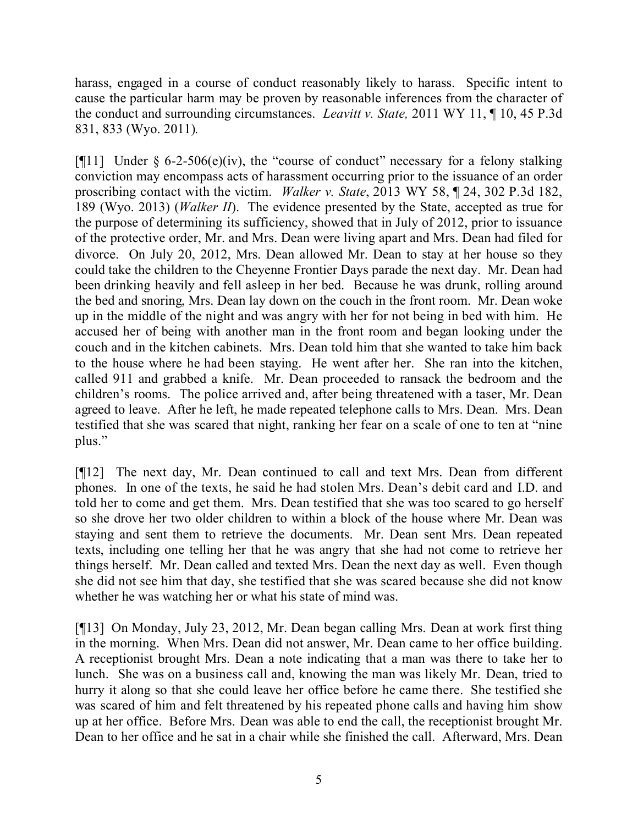harass, engaged in a course of conduct reasonably likely to harass. Specific intent to cause the particular harm may be proven by reasonable inferences from the character of the conduct and surrounding circumstances. *Leavitt v. State,* 2011 WY 11, ¶ 10, 45 P.3d 831, 833 (Wyo. 2011)*.* 

[ $[$ [11] Under  $\S$  6-2-506(e)(iv), the "course of conduct" necessary for a felony stalking conviction may encompass acts of harassment occurring prior to the issuance of an order proscribing contact with the victim. *Walker v. State*, 2013 WY 58, ¶ 24, 302 P.3d 182, 189 (Wyo. 2013) (*Walker II*). The evidence presented by the State, accepted as true for the purpose of determining its sufficiency, showed that in July of 2012, prior to issuance of the protective order, Mr. and Mrs. Dean were living apart and Mrs. Dean had filed for divorce. On July 20, 2012, Mrs. Dean allowed Mr. Dean to stay at her house so they could take the children to the Cheyenne Frontier Days parade the next day. Mr. Dean had been drinking heavily and fell asleep in her bed. Because he was drunk, rolling around the bed and snoring, Mrs. Dean lay down on the couch in the front room. Mr. Dean woke up in the middle of the night and was angry with her for not being in bed with him. He accused her of being with another man in the front room and began looking under the couch and in the kitchen cabinets. Mrs. Dean told him that she wanted to take him back to the house where he had been staying. He went after her. She ran into the kitchen, called 911 and grabbed a knife. Mr. Dean proceeded to ransack the bedroom and the children's rooms. The police arrived and, after being threatened with a taser, Mr. Dean agreed to leave. After he left, he made repeated telephone calls to Mrs. Dean. Mrs. Dean testified that she was scared that night, ranking her fear on a scale of one to ten at "nine plus."

[¶12] The next day, Mr. Dean continued to call and text Mrs. Dean from different phones. In one of the texts, he said he had stolen Mrs. Dean's debit card and I.D. and told her to come and get them. Mrs. Dean testified that she was too scared to go herself so she drove her two older children to within a block of the house where Mr. Dean was staying and sent them to retrieve the documents. Mr. Dean sent Mrs. Dean repeated texts, including one telling her that he was angry that she had not come to retrieve her things herself. Mr. Dean called and texted Mrs. Dean the next day as well. Even though she did not see him that day, she testified that she was scared because she did not know whether he was watching her or what his state of mind was.

[¶13] On Monday, July 23, 2012, Mr. Dean began calling Mrs. Dean at work first thing in the morning. When Mrs. Dean did not answer, Mr. Dean came to her office building. A receptionist brought Mrs. Dean a note indicating that a man was there to take her to lunch. She was on a business call and, knowing the man was likely Mr. Dean, tried to hurry it along so that she could leave her office before he came there. She testified she was scared of him and felt threatened by his repeated phone calls and having him show up at her office. Before Mrs. Dean was able to end the call, the receptionist brought Mr. Dean to her office and he sat in a chair while she finished the call. Afterward, Mrs. Dean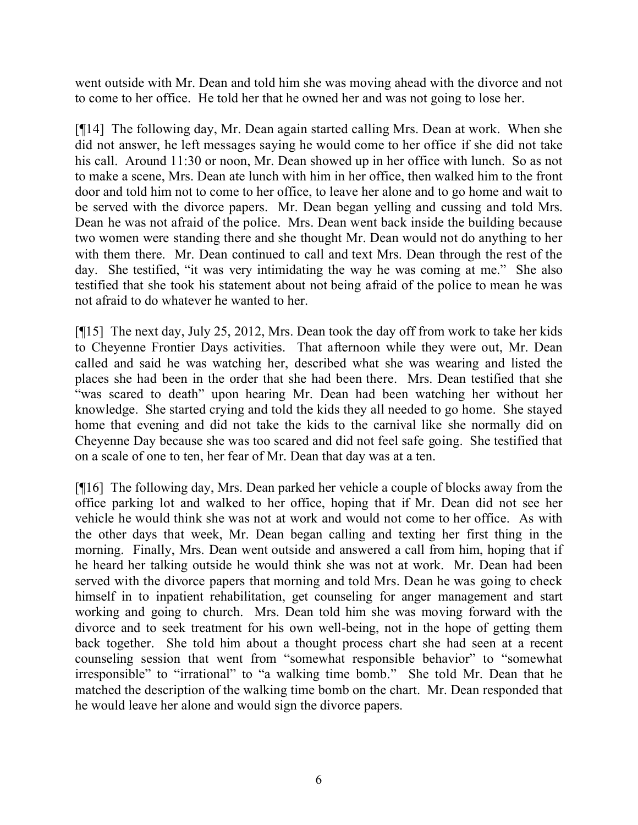went outside with Mr. Dean and told him she was moving ahead with the divorce and not to come to her office. He told her that he owned her and was not going to lose her.

[¶14] The following day, Mr. Dean again started calling Mrs. Dean at work. When she did not answer, he left messages saying he would come to her office if she did not take his call. Around 11:30 or noon, Mr. Dean showed up in her office with lunch. So as not to make a scene, Mrs. Dean ate lunch with him in her office, then walked him to the front door and told him not to come to her office, to leave her alone and to go home and wait to be served with the divorce papers. Mr. Dean began yelling and cussing and told Mrs. Dean he was not afraid of the police. Mrs. Dean went back inside the building because two women were standing there and she thought Mr. Dean would not do anything to her with them there. Mr. Dean continued to call and text Mrs. Dean through the rest of the day. She testified, "it was very intimidating the way he was coming at me." She also testified that she took his statement about not being afraid of the police to mean he was not afraid to do whatever he wanted to her.

[¶15] The next day, July 25, 2012, Mrs. Dean took the day off from work to take her kids to Cheyenne Frontier Days activities. That afternoon while they were out, Mr. Dean called and said he was watching her, described what she was wearing and listed the places she had been in the order that she had been there. Mrs. Dean testified that she "was scared to death" upon hearing Mr. Dean had been watching her without her knowledge. She started crying and told the kids they all needed to go home. She stayed home that evening and did not take the kids to the carnival like she normally did on Cheyenne Day because she was too scared and did not feel safe going. She testified that on a scale of one to ten, her fear of Mr. Dean that day was at a ten.

[¶16] The following day, Mrs. Dean parked her vehicle a couple of blocks away from the office parking lot and walked to her office, hoping that if Mr. Dean did not see her vehicle he would think she was not at work and would not come to her office. As with the other days that week, Mr. Dean began calling and texting her first thing in the morning. Finally, Mrs. Dean went outside and answered a call from him, hoping that if he heard her talking outside he would think she was not at work. Mr. Dean had been served with the divorce papers that morning and told Mrs. Dean he was going to check himself in to inpatient rehabilitation, get counseling for anger management and start working and going to church. Mrs. Dean told him she was moving forward with the divorce and to seek treatment for his own well-being, not in the hope of getting them back together. She told him about a thought process chart she had seen at a recent counseling session that went from "somewhat responsible behavior" to "somewhat irresponsible" to "irrational" to "a walking time bomb." She told Mr. Dean that he matched the description of the walking time bomb on the chart. Mr. Dean responded that he would leave her alone and would sign the divorce papers.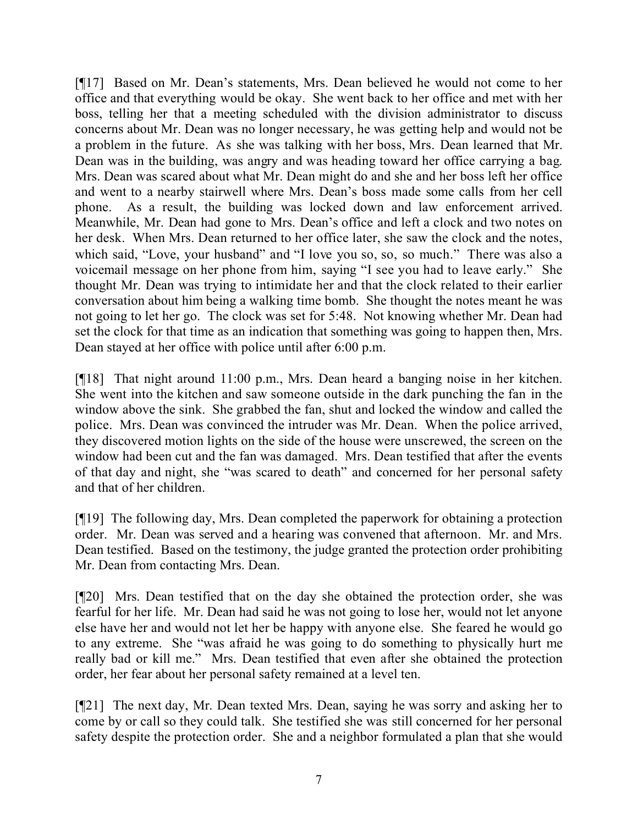[¶17] Based on Mr. Dean's statements, Mrs. Dean believed he would not come to her office and that everything would be okay. She went back to her office and met with her boss, telling her that a meeting scheduled with the division administrator to discuss concerns about Mr. Dean was no longer necessary, he was getting help and would not be a problem in the future. As she was talking with her boss, Mrs. Dean learned that Mr. Dean was in the building, was angry and was heading toward her office carrying a bag. Mrs. Dean was scared about what Mr. Dean might do and she and her boss left her office and went to a nearby stairwell where Mrs. Dean's boss made some calls from her cell phone. As a result, the building was locked down and law enforcement arrived. Meanwhile, Mr. Dean had gone to Mrs. Dean's office and left a clock and two notes on her desk. When Mrs. Dean returned to her office later, she saw the clock and the notes, which said, "Love, your husband" and "I love you so, so, so much." There was also a voicemail message on her phone from him, saying "I see you had to leave early." She thought Mr. Dean was trying to intimidate her and that the clock related to their earlier conversation about him being a walking time bomb. She thought the notes meant he was not going to let her go. The clock was set for 5:48. Not knowing whether Mr. Dean had set the clock for that time as an indication that something was going to happen then, Mrs. Dean stayed at her office with police until after 6:00 p.m.

[¶18] That night around 11:00 p.m., Mrs. Dean heard a banging noise in her kitchen. She went into the kitchen and saw someone outside in the dark punching the fan in the window above the sink. She grabbed the fan, shut and locked the window and called the police. Mrs. Dean was convinced the intruder was Mr. Dean. When the police arrived, they discovered motion lights on the side of the house were unscrewed, the screen on the window had been cut and the fan was damaged. Mrs. Dean testified that after the events of that day and night, she "was scared to death" and concerned for her personal safety and that of her children.

[¶19] The following day, Mrs. Dean completed the paperwork for obtaining a protection order. Mr. Dean was served and a hearing was convened that afternoon. Mr. and Mrs. Dean testified. Based on the testimony, the judge granted the protection order prohibiting Mr. Dean from contacting Mrs. Dean.

[¶20] Mrs. Dean testified that on the day she obtained the protection order, she was fearful for her life. Mr. Dean had said he was not going to lose her, would not let anyone else have her and would not let her be happy with anyone else. She feared he would go to any extreme. She "was afraid he was going to do something to physically hurt me really bad or kill me." Mrs. Dean testified that even after she obtained the protection order, her fear about her personal safety remained at a level ten.

[¶21] The next day, Mr. Dean texted Mrs. Dean, saying he was sorry and asking her to come by or call so they could talk. She testified she was still concerned for her personal safety despite the protection order. She and a neighbor formulated a plan that she would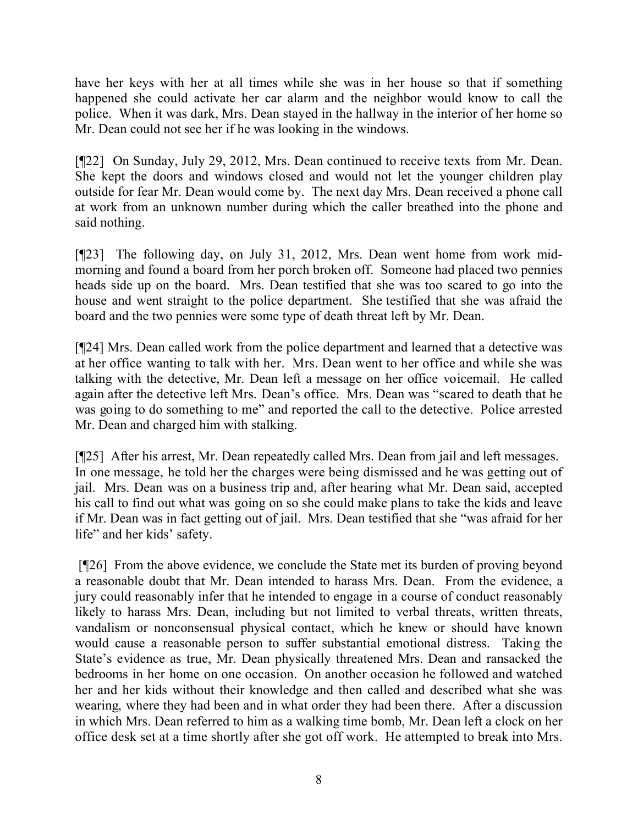have her keys with her at all times while she was in her house so that if something happened she could activate her car alarm and the neighbor would know to call the police. When it was dark, Mrs. Dean stayed in the hallway in the interior of her home so Mr. Dean could not see her if he was looking in the windows.

[¶22] On Sunday, July 29, 2012, Mrs. Dean continued to receive texts from Mr. Dean. She kept the doors and windows closed and would not let the younger children play outside for fear Mr. Dean would come by. The next day Mrs. Dean received a phone call at work from an unknown number during which the caller breathed into the phone and said nothing.

[¶23] The following day, on July 31, 2012, Mrs. Dean went home from work midmorning and found a board from her porch broken off. Someone had placed two pennies heads side up on the board. Mrs. Dean testified that she was too scared to go into the house and went straight to the police department. She testified that she was afraid the board and the two pennies were some type of death threat left by Mr. Dean.

[¶24] Mrs. Dean called work from the police department and learned that a detective was at her office wanting to talk with her. Mrs. Dean went to her office and while she was talking with the detective, Mr. Dean left a message on her office voicemail. He called again after the detective left Mrs. Dean's office. Mrs. Dean was "scared to death that he was going to do something to me" and reported the call to the detective. Police arrested Mr. Dean and charged him with stalking.

[¶25] After his arrest, Mr. Dean repeatedly called Mrs. Dean from jail and left messages. In one message, he told her the charges were being dismissed and he was getting out of jail. Mrs. Dean was on a business trip and, after hearing what Mr. Dean said, accepted his call to find out what was going on so she could make plans to take the kids and leave if Mr. Dean was in fact getting out of jail. Mrs. Dean testified that she "was afraid for her life" and her kids' safety.

[¶26] From the above evidence, we conclude the State met its burden of proving beyond a reasonable doubt that Mr. Dean intended to harass Mrs. Dean. From the evidence, a jury could reasonably infer that he intended to engage in a course of conduct reasonably likely to harass Mrs. Dean, including but not limited to verbal threats, written threats, vandalism or nonconsensual physical contact, which he knew or should have known would cause a reasonable person to suffer substantial emotional distress. Taking the State's evidence as true, Mr. Dean physically threatened Mrs. Dean and ransacked the bedrooms in her home on one occasion. On another occasion he followed and watched her and her kids without their knowledge and then called and described what she was wearing, where they had been and in what order they had been there. After a discussion in which Mrs. Dean referred to him as a walking time bomb, Mr. Dean left a clock on her office desk set at a time shortly after she got off work. He attempted to break into Mrs.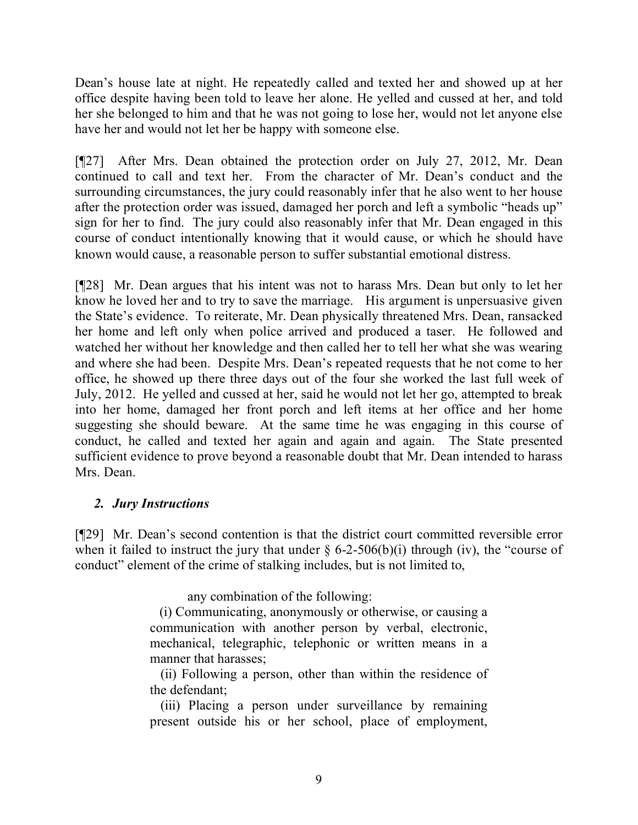Dean's house late at night. He repeatedly called and texted her and showed up at her office despite having been told to leave her alone. He yelled and cussed at her, and told her she belonged to him and that he was not going to lose her, would not let anyone else have her and would not let her be happy with someone else.

[¶27] After Mrs. Dean obtained the protection order on July 27, 2012, Mr. Dean continued to call and text her. From the character of Mr. Dean's conduct and the surrounding circumstances, the jury could reasonably infer that he also went to her house after the protection order was issued, damaged her porch and left a symbolic "heads up" sign for her to find. The jury could also reasonably infer that Mr. Dean engaged in this course of conduct intentionally knowing that it would cause, or which he should have known would cause, a reasonable person to suffer substantial emotional distress.

[¶28] Mr. Dean argues that his intent was not to harass Mrs. Dean but only to let her know he loved her and to try to save the marriage. His argument is unpersuasive given the State's evidence. To reiterate, Mr. Dean physically threatened Mrs. Dean, ransacked her home and left only when police arrived and produced a taser. He followed and watched her without her knowledge and then called her to tell her what she was wearing and where she had been. Despite Mrs. Dean's repeated requests that he not come to her office, he showed up there three days out of the four she worked the last full week of July, 2012. He yelled and cussed at her, said he would not let her go, attempted to break into her home, damaged her front porch and left items at her office and her home suggesting she should beware. At the same time he was engaging in this course of conduct, he called and texted her again and again and again. The State presented sufficient evidence to prove beyond a reasonable doubt that Mr. Dean intended to harass Mrs. Dean.

# *2. Jury Instructions*

[¶29] Mr. Dean's second contention is that the district court committed reversible error when it failed to instruct the jury that under  $\S$  6-2-506(b)(i) through (iv), the "course of conduct" element of the crime of stalking includes, but is not limited to,

any combination of the following:

(i) Communicating, anonymously or otherwise, or causing a communication with another person by verbal, electronic, mechanical, telegraphic, telephonic or written means in a manner that harasses;

 (ii) Following a person, other than within the residence of the defendant;

 (iii) Placing a person under surveillance by remaining present outside his or her school, place of employment,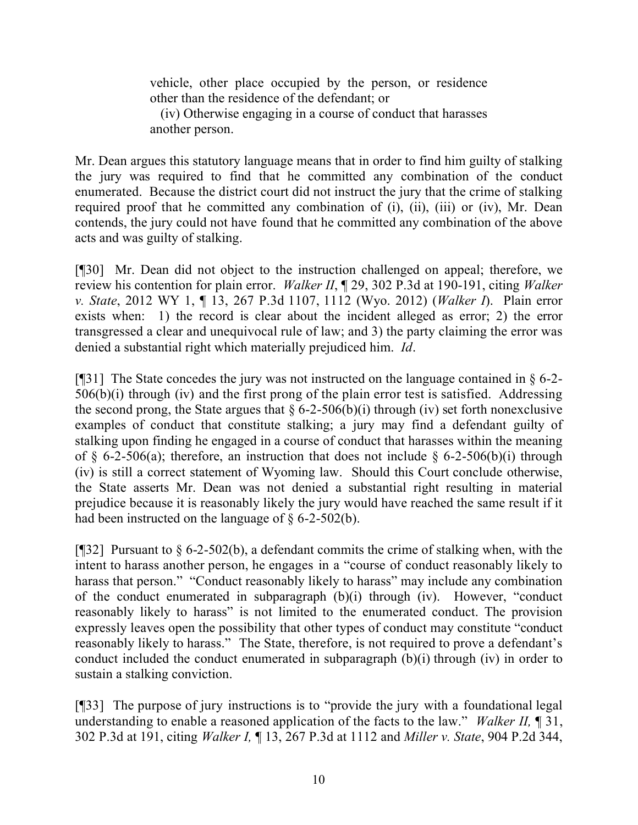vehicle, other place occupied by the person, or residence other than the residence of the defendant; or

 (iv) Otherwise engaging in a course of conduct that harasses another person.

Mr. Dean argues this statutory language means that in order to find him guilty of stalking the jury was required to find that he committed any combination of the conduct enumerated. Because the district court did not instruct the jury that the crime of stalking required proof that he committed any combination of (i), (ii), (iii) or (iv), Mr. Dean contends, the jury could not have found that he committed any combination of the above acts and was guilty of stalking.

[¶30] Mr. Dean did not object to the instruction challenged on appeal; therefore, we review his contention for plain error. *Walker II*, ¶ 29, 302 P.3d at 190-191, citing *Walker v. State*, 2012 WY 1, ¶ 13, 267 P.3d 1107, 1112 (Wyo. 2012) (*Walker I*). Plain error exists when: 1) the record is clear about the incident alleged as error; 2) the error transgressed a clear and unequivocal rule of law; and 3) the party claiming the error was denied a substantial right which materially prejudiced him. *Id*.

[ $[$ ][31] The State concedes the jury was not instructed on the language contained in  $\S$  6-2-506(b)(i) through (iv) and the first prong of the plain error test is satisfied. Addressing the second prong, the State argues that  $\S 6$ -2-506(b)(i) through (iv) set forth nonexclusive examples of conduct that constitute stalking; a jury may find a defendant guilty of stalking upon finding he engaged in a course of conduct that harasses within the meaning of § 6-2-506(a); therefore, an instruction that does not include § 6-2-506(b)(i) through (iv) is still a correct statement of Wyoming law. Should this Court conclude otherwise, the State asserts Mr. Dean was not denied a substantial right resulting in material prejudice because it is reasonably likely the jury would have reached the same result if it had been instructed on the language of  $\S$  6-2-502(b).

[¶32] Pursuant to § 6-2-502(b), a defendant commits the crime of stalking when, with the intent to harass another person, he engages in a "course of conduct reasonably likely to harass that person." "Conduct reasonably likely to harass" may include any combination of the conduct enumerated in subparagraph (b)(i) through (iv). However, "conduct reasonably likely to harass" is not limited to the enumerated conduct. The provision expressly leaves open the possibility that other types of conduct may constitute "conduct reasonably likely to harass." The State, therefore, is not required to prove a defendant's conduct included the conduct enumerated in subparagraph (b)(i) through (iv) in order to sustain a stalking conviction.

[¶33] The purpose of jury instructions is to "provide the jury with a foundational legal understanding to enable a reasoned application of the facts to the law." *Walker II,* ¶ 31, 302 P.3d at 191, citing *Walker I,* ¶ 13, 267 P.3d at 1112 and *Miller v. State*, 904 P.2d 344,